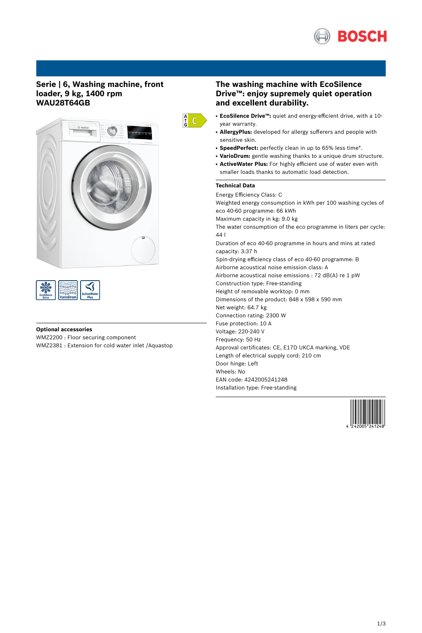

## **Serie | 6, Washing machine, front loader, 9 kg, 1400 rpm WAU28T64GB**





### **Optional accessories**

WMZ2200 : Floor securing component WMZ2381 : Extension for cold water inlet /Aquastop

## **The washing machine with EcoSilence Drive™: enjoy supremely quiet operation and excellent durability.**

- **EcoSilence Drive™:** quiet and energy-efficient drive, with a 10 year warranty.
- **AllergyPlus:** developed for allergy sufferers and people with sensitive skin.
- **SpeedPerfect:** perfectly clean in up to 65% less time\*.
- VarioDrum: gentle washing thanks to a unique drum structure.
- **ActiveWater Plus:** For highly efficient use of water even with smaller loads thanks to automatic load detection.

### **Technical Data**

 $\frac{A}{G}$  C

Energy Efficiency Class: C

Weighted energy consumption in kWh per 100 washing cycles of eco 40-60 programme: 66 kWh

Maximum capacity in kg: 9.0 kg

The water consumption of the eco programme in liters per cycle: 44 l

Duration of eco 40-60 programme in hours and mins at rated capacity: 3:37 h

Spin-drying efficiency class of eco 40-60 programme: B

Airborne acoustical noise emission class: A

Airborne acoustical noise emissions : 72 dB(A) re 1 pW

Construction type: Free-standing

Height of removable worktop: 0 mm

Dimensions of the product: 848 x 598 x 590 mm

Net weight: 64.7 kg

Connection rating: 2300 W

Fuse protection: 10 A

Voltage: 220-240 V

Frequency: 50 Hz

Approval certificates: CE, E17D UKCA marking, VDE

Length of electrical supply cord: 210 cm

Door hinge: Left

Wheels: No

EAN code: 4242005241248

Installation type: Free-standing

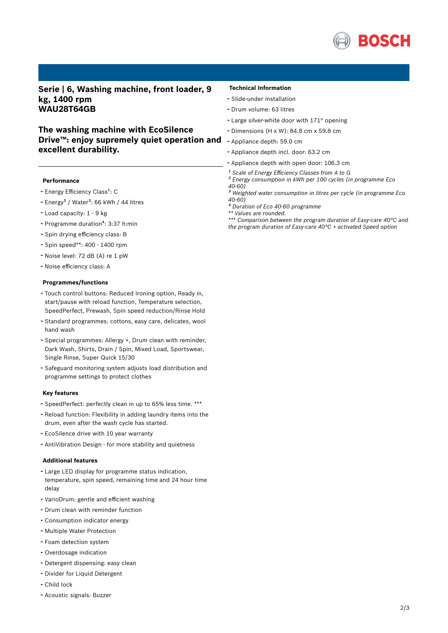

**Serie | 6, Washing machine, front loader, 9 kg, 1400 rpm WAU28T64GB**

# **The washing machine with EcoSilence Drive™: enjoy supremely quiet operation and excellent durability.**

#### **Performance**

- Energy Efficiency Class<sup>1</sup>: C
- Energy<sup>2</sup> / Water<sup>3</sup>: 66 kWh / 44 litres
- Load capacity: <sup>1</sup> <sup>9</sup> kg
- Programme duration<sup>4</sup>: 3:37 h:min
- Spin drying efficiency class: <sup>B</sup>
- Spin speed\*\*: <sup>400</sup> <sup>1400</sup> rpm
- Noise level: <sup>72</sup> dB (A) re <sup>1</sup> pW
- Noise efficiency class: <sup>A</sup>

#### **Programmes/functions**

- Touch control buttons: Reduced Ironing option, Ready in, start/pause with reload function, Temperature selection, SpeedPerfect, Prewash, Spin speed reduction/Rinse Hold
- Standard programmes: cottons, easy care, delicates, wool hand wash
- Special programmes: Allergy +, Drum clean with reminder, Dark Wash, Shirts, Drain / Spin, Mixed Load, Sportswear, Single Rinse, Super Quick 15/30
- Safeguard monitoring system adjusts load distribution and programme settings to protect clothes

#### **Key features**

- SpeedPerfect: perfectly clean in up to 65% less time. \*\*\*
- Reload function: Flexibility in adding laundry items into the drum, even after the wash cycle has started.
- EcoSilence drive with <sup>10</sup> year warranty
- AntiVibration Design for more stability and quietness

#### **Additional features**

- Large LED display for programme status indication, temperature, spin speed, remaining time and 24 hour time delay
- VarioDrum: gentle and efficient washing
- Drum clean with reminder function
- Consumption indicator energy
- Multiple Water Protection
- Foam detection system
- Overdosage indication
- Detergent dispensing: easy clean
- Divider for Liquid Detergent
- Child lock
- Acoustic signals: Buzzer

#### **Technical Information**

- Slide-under installation
- Drum volume: <sup>63</sup> litres
- Large silver-white door with 171° opening
- Dimensions (H x W): 84.8 cm x 59.8 cm
- Appliance depth: 59.0 cm
- Appliance depth incl. door: 63.2 cm
- Appliance depth with open door: 106.3 cm
- *¹ Scale of Energy Efficiency Classes from A to G*
- *² Energy consumption in kWh per 100 cycles (in programme Eco 40-60)*
- *³ Weighted water consumption in litres per cycle (in programme Eco 40-60)*
- *⁴ Duration of Eco 40-60 programme*
- *\*\* Values are rounded.*
- *\*\*\* Comparison between the program duration of Easy-care 40°C and the program duration of Easy-care 40°C + activated Speed option*